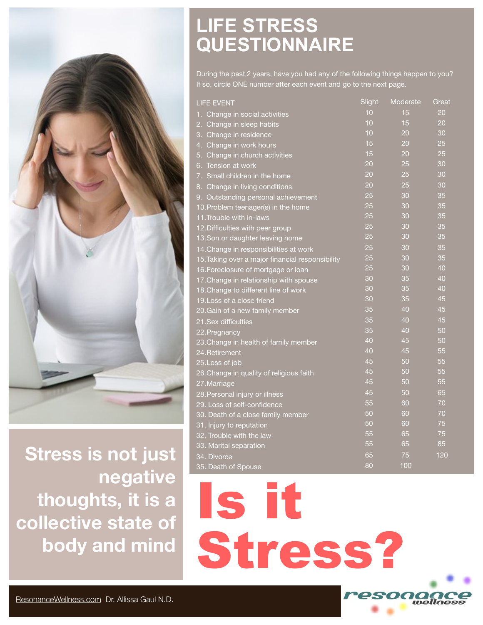

**Stress is not just negative thoughts, it is a collective state of body and mind** 

## **LIFE STRESS QUESTIONNAIRE**

During the past 2 years, have you had any of the following things happen to you? If so, circle ONE number after each event and go to the next page.

| <b>LIFE EVENT</b>                                | Slight | Moderate | Great |
|--------------------------------------------------|--------|----------|-------|
| 1. Change in social activities                   | 10     | 15       | 20    |
| Change in sleep habits<br>2.                     | 10     | 15       | 20    |
| 3.<br>Change in residence                        | 10     | 20       | 30    |
| 4.<br>Change in work hours                       | 15     | 20       | 25    |
| Change in church activities<br>5.                | 15     | 20       | 25    |
| Tension at work<br>6.                            | 20     | 25       | 30    |
| 7. Small children in the home                    | 20     | 25       | 30    |
| Change in living conditions<br>8.                | 20     | 25       | 30    |
| Outstanding personal achievement<br>9.           | 25     | 30       | 35    |
| 10. Problem teenager(s) in the home              | 25     | 30       | 35    |
| 11. Trouble with in-laws                         | 25     | 30       | 35    |
| 12. Difficulties with peer group                 | 25     | 30       | 35    |
| 13. Son or daughter leaving home                 | 25     | 30       | 35    |
| 14. Change in responsibilities at work           | 25     | 30       | 35    |
| 15. Taking over a major financial responsibility | 25     | 30       | 35    |
| 16. Foreclosure of mortgage or loan              | 25     | 30       | 40    |
| 17. Change in relationship with spouse           | 30     | 35       | 40    |
| 18. Change to different line of work             | 30     | 35       | 40    |
| 19. Loss of a close friend                       | 30     | 35       | 45    |
| 20. Gain of a new family member                  | 35     | 40       | 45    |
| 21. Sex difficulties                             | 35     | 40       | 45    |
| 22. Pregnancy                                    | 35     | 40       | 50    |
| 23. Change in health of family member            | 40     | 45       | 50    |
| 24. Retirement                                   | 40     | 45       | 55    |
| 25. Loss of job                                  | 45     | 50       | 55    |
| 26. Change in quality of religious faith         | 45     | 50       | 55    |
| 27. Marriage                                     | 45     | 50       | 55    |
| 28. Personal injury or illness                   | 45     | 50       | 65    |
| 29. Loss of self-confidence                      | 55     | 60       | 70    |
| 30. Death of a close family member               | 50     | 60       | 70    |
| 31. Injury to reputation                         | 50     | 60       | 75    |
| 32. Trouble with the law                         | 55     | 65       | 75    |
| 33. Marital separation                           | 55     | 65       | 85    |
| 34. Divorce                                      | 65     | 75       | 120   |
| 35. Death of Spouse                              | 80     | 100      |       |

Is it Stress? **SONONC**